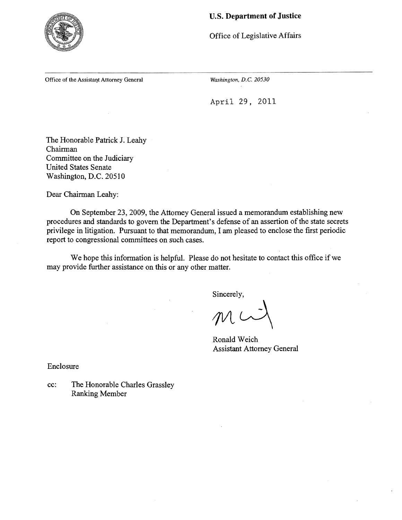

### **u.s. Department of Justice**

Office of Legislative Affairs

Office of the Assistant Attorney General *Washington, D.C. 20530* 

April 29, 2011

The Honorable Patrick J. Leahy Chairman Committee on the Judiciary United States Senate Washington, D.C. 20510

Dear Chairman Leahy:

On September 23, 2009, the Attorney General issued a memorandum establishing new procedures and standards to govern the Department's defense of an assertion of the state secrets privilege in litigation. Pursuant to that memorandum, I am pleased to enclose the first periodic report to congressional committees on such cases.

We hope this information is helpful. Please do not hesitate to contact this office if we may provide further assistance on this or any other matter.

Sincerely,

 $W$ 

Ronald Weich Assistant Attorney General

Enclosure

cc: The Honorable Charles Grassley Ranking Member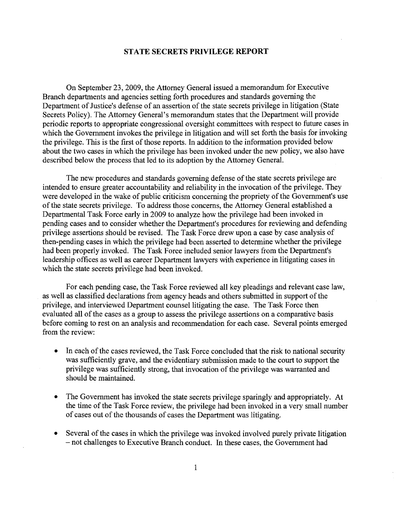#### STATE SECRETS PRIVILEGE REPORT

On September 23, 2009, the Attorney General issued a memorandum for Executive Branch departments and agencies setting forth procedures and standards governing the Department of Justice's defense of an assertion of the state secrets privilege in litigation (State Secrets Policy). The Attorney General's memorandum states that the Department will provide periodic reports to appropriate congressional oversight committees with respect to future cases in which the Government invokes the privilege in litigation and will set forth the basis for invoking the privilege. This is the first of those reports. In addition to the information provided below about the two cases in which the privilege has been invoked under the new policy, we also have described below the process that led to its adoption by the Attorney General.

The new procedures and standards governing defense of the state secrets privilege are intended to ensure greater accountability and reliability in the invocation of the privilege. They were developed in the wake of public criticism concerning the propriety of the Government's use of the state secrets privilege. To address those concerns, the Attorney General established a Departmental Task Force early in 2009 to analyze how the privilege had been invoked in pending cases and to consider whether the Department's procedures for reviewing and defending privilege assertions should be revised. The Task Force drew upon a case by case analysis of then-pending cases in which the privilege had been asserted to determine whether the privilege had been properly invoked. The Task Force included senior lawyers from the Department's leadership offices as well as career Department lawyers with experience in litigating cases in which the state secrets privilege had been invoked.

For each pending case, the Task Force reviewed all key pleadings and relevant case law, as well as classified declarations from agency heads and others submitted in support of the privilege, and interviewed Department counsel litigating the case. The Task Force then evaluated all of the cases as a group to assess the privilege assertions on a comparative basis before coming to rest on an analysis and recommendation for each case. Several points emerged from the review:

- In each of the cases reviewed, the Task Force concluded that the risk to national security was sufficiently grave, and the evidentiary submission made to the court to support the privilege was sufficiently strong, that invocation of the privilege was warranted and should be maintained.
- The Government has invoked the state secrets privilege sparingly and appropriately. At the time of the Task Force review, the privilege had been invoked in a very small number of cases out of the thousands of cases the Department was litigating.
- Several of the cases in which the privilege was invoked involved purely private litigation - not challenges to Executive Branch conduct. In these cases, the Government had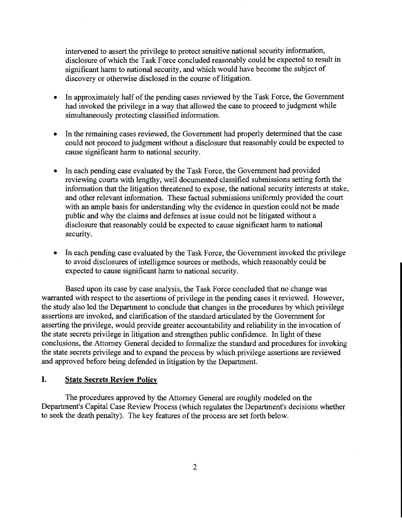intervened to assert the privilege to protect sensitive national security information, disclosure of which the Task Force concluded reasonably could be expected to result in significant harm to national security, and which would have become the subject of discovery or otherwise disclosed in the course of litigation.

- In approximately half of the pending cases reviewed by the Task Force, the Government had invoked the privilege in a way that allowed the case to proceed to judgment while simultaneously protecting classified information.
- In the remaining cases reviewed, the Government had properly determined that the case could not proceed to judgment without a disclosure that reasonably could be expected to cause significant harm to national security.
- In each pending case evaluated by the Task Force, the Government had provided reviewing courts with lengthy, well documented classified submissions setting forth the information that the litigation threatened to expose, the national security interests at stake, and other relevant information. These factual submissions uniformly provided the court with an ample basis for understanding why the evidence in question could not be made public and why the claims and defenses at issue could not be litigated without a disclosure that reasonably could be expected to cause significant harm to national security.
- In each pending case evaluated by the Task Force, the Government invoked the privilege to avoid disclosures of intelligence sources or methods, which reasonably could be expected to cause significant harm to national security.

Based upon its case by case analysis, the Task Force concluded that no change was warranted with respect to the assertions of privilege in the pending cases it reviewed. However, the study also led the Department to conclude that changes in the procedures by which privilege assertions are invoked, and clarification of the standard articulated by the Government for asserting the privilege, would provide greater accountability and reliability in the invocation of the state secrets privilege in litigation and strengthen public confidence. In light of these conclusions, the Attorney General decided to formalize the standard and procedures for invoking the state secrets privilege and to expand the process by which privilege assertions are reviewed and approved before being defended in litigation by the Department.

### **I.** State Secrets Review Policy

The procedures approved by the Attorney General are roughly modeled on the Department's Capital Case Review Process (which regulates the Department's decisions whether to seek the death penalty). The key features of the process are set forth below.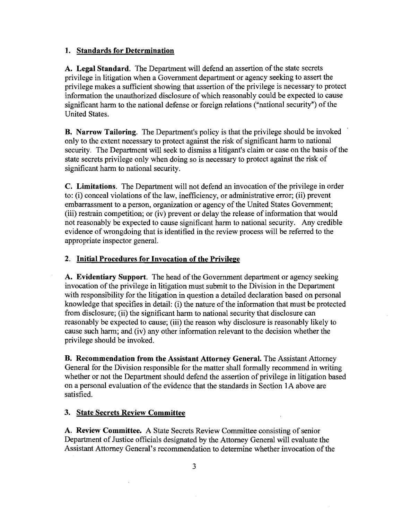## 1. Standards for Determination

A. Legal Standard. The Department will defend an assertion of the state secrets privilege in litigation when a Government department or agency seeking to assert the privilege makes a sufficient showing that assertion of the privilege is necessary to protect information the unauthorized disclosure of which reasonably could be expected to cause significant harm to the national defense or foreign relations ("national security") of the United States.

**B.** Narrow Tailoring. The Department's policy is that the privilege should be invoked only to the extent necessary to protect against the risk of significant harm to national security. The Department will seek to dismiss a litigant's claim or case on the basis of the state secrets privilege only when doing so is necessary to protect against the risk of significant harm to national security.

C. Limitations. The Department will not defend an invocation of the privilege in order to: (i) conceal violations of the law, inefficiency, or administrative error; (ii) prevent embarrassment to a person, organization or agency of the United States Government; (iii) restrain competition; or (iv) prevent or delay the release of information that would not reasonably be expected to cause significant harm to national security. Any credible evidence of wrongdoing that is identified in the review process will be referred to the appropriate inspector general.

# 2. Initial Procedures for Invocation of the Privilege

A. Evidentiary Support. The head of the Government department or agency seeking invocation of the privilege in litigation must submit to the Division in the Department with responsibility for the litigation in question a detailed declaration based on personal knowledge that specifies in detail: (i) the nature of the information that must be protected from disclosure; (ii) the significant harm to national security that disclosure can reasonably be expected to cause; (iii) the reason why disclosure is reasonably likely to cause such harm; and (iv) any other information relevant to the decision whether the privilege should be invoked.

B. Recommendation from the Assistant Attorney General. The Assistant Attorney General for the Division responsible for the matter shall formally recommend in writing whether or not the Department should defend the assertion of privilege in litigation based on a personal evaluation ofthe evidence that the standards in Section lA above are satisfied.

### 3. State Secrets Review Committee

A. Review Committee. A State Secrets Review Committee consisting of senior Department of Justice officials designated by the Attorney General will evaluate the Assistant Attorney General's recommendation to determine whether invocation of the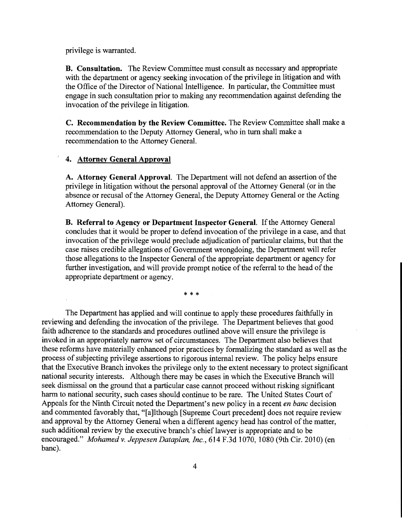privilege is warranted.

**B. Consultation.** The Review Committee must consult as necessary and appropriate with the department or agency seeking invocation of the privilege in litigation and with the Office of the Director of National Intelligence. In particular, the Committee must engage in such consultation prior to making any recommendation against defending the invocation of the privilege in litigation.

**C. Recommendation by the Review Committee.** The Review Committee shall make a recommendation to the Deputy Attorney General, who in tum shall make a recommendation to the Attorney General.

#### , **4. Attorney General Approval**

A. Attorney General Approval. The Department will not defend an assertion of the privilege in litigation without the personal approval of the Attorney General (or in the absence or recusal of the Attorney General, the Deputy Attorney General or the Acting Attorney General).

**B. Referral to Agency or Department Inspector General.** If the Attorney General concludes that it would be proper to defend invocation of the privilege in a case, and that invocation of the privilege would preclude adjudication of particular claims, but that the case raises credible allegations of Government wrongdoing, the Department will refer those allegations to the Inspector General of the appropriate department or agency for further investigation, and will provide prompt notice of the referral to the head of the appropriate department or agency.

\* \* \*

The Department has applied and will continue to apply these procedures faithfully in reviewing and defending the invocation of the privilege. The Department believes that good faith adherence to the standards and procedures outlined above will ensure the privilege is invoked in an appropriately narrow set of circumstances. The Department also believes that these reforms have materially enhanced prior practices by formalizing the standard as well as the process of subjecting privilege assertions to rigorous internal review. The policy helps ensure that the Executive Branch invokes the privilege only to the extent necessary to protect significant national security interests. Although there may be cases in which the Executive Branch will seek dismissal on the ground that a particular case cannot proceed without risking significant harm to national security, such cases should continue to be rare. The United States Court of Appeals for the Ninth Circuit noted the Department's new policy in a recent *en banc* decision and commented favorably that, "[a]lthough [Supreme Court precedent] does not require review and approval by the Attorney General when a different agency head has control of the matter, such additional review by the executive branch's chief lawyer is appropriate and to be encouraged." *Mohamed v. Jeppesen Dataplan, Inc.*, 614 F.3d 1070, 1080 (9th Cir. 2010) (en banc).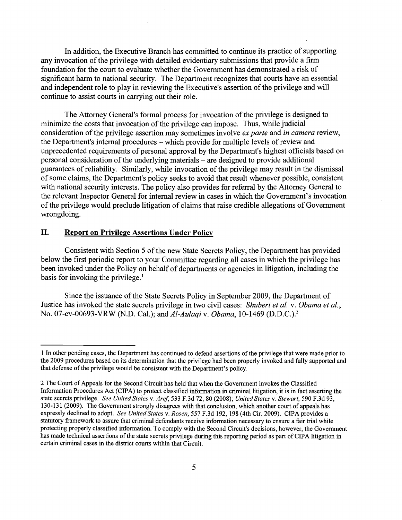In addition, the Executive Branch has committed to continue its practice of supporting any invocation of the privilege with detailed evidentiary submissions that provide a firm foundation for the court to evaluate whether the Government has demonstrated a risk of significant harm to national security. The Department recognizes that courts have an essential and independent role to play in reviewing the Executive's assertion of the privilege and will continue to assist courts in carrying out their role.

The Attorney General's formal process for invocation of the privilege is designed to minimize the costs that invocation of the privilege can impose. Thus, while judicial consideration ofthe privilege assertion may sometimes involve *ex parte* and *in camera* review, the Department's internal procedures – which provide for multiple levels of review and unprecedented requirements of personal approval by the Department's highest officials based on personal consideration of the underlying materials – are designed to provide additional guarantees of reliability. Similarly, while invocation of the privilege may result in the dismissal of some claims, the Department's policy seeks to avoid that result whenever possible, consistent with national security interests. The policy also provides for referral by the Attorney General to the relevant Inspector General for internal review in cases in which the Government's invocation of the privilege would preclude litigation of claims that raise credible allegations of Government wrongdoing.

### **II. Report on Privilege** Assertions **Under Policy**

Consistent with Section 5 of the new State Secrets Policy, the Department has provided below the first periodic report to your Committee regarding all cases in which the privilege has been invoked under the Policy on behalf of departments or agencies in litigation, including the basis for invoking the privilege. $<sup>1</sup>$ </sup>

Since the issuance of the State Secrets Policy in September 2009, the Department of Justice has invoked the state secrets privilege in two civil cases: *Shubert et at.* v. *Obama et al.,*  No. 07-cv-00693-VRW (N.D. Cal.); and *Al-Aulaqi* v. *Obama,* 10-1469 (D.D.C.).2

<sup>1</sup> In other pending cases, the Department has continued to defend assertions of the privilege that were made prior to the 2009 procedures based on its determination that the privilege had been properly invoked and fully supported and that defense of the privilege would be consistent with the Department's policy.

<sup>2</sup> The Court of Appeals for the Second Circuit has held that when the Government invokes the Classified Information Procedures Act (CIPA) to protect classified information in criminal litigation, it is in fact asserting the state secrets privilege. *See United States* v. *Aref,* 533 F.3d 72, 80 (2008); *United States* v. *Stewart,* 590 F.3d 93, 130-131 (2009). The Government strongly disagrees with that conclusion, which another court of appeals has expressly declined to adopt. *See United States* v. *Rosen,* 557 F.3d 192, 198 (4th Cir. 2009). CIPA provides a statutory framework to assure that criminal defendants receive information necessary to ensure a fair trial while protecting properly classified information. To comply with the Second Circuit's decisions, however, the Government has made technical assertions of the state secrets privilege during this reporting period as part of CIPA litigation in certain criminal cases in the district courts within that Circuit.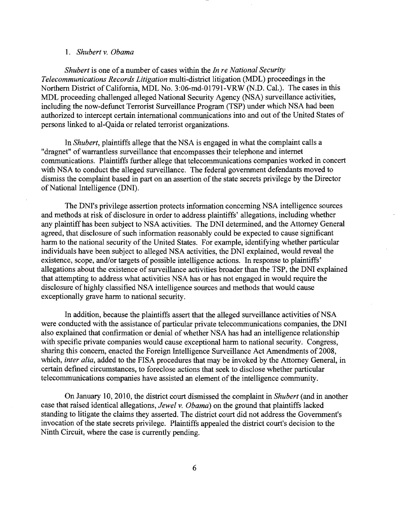#### *1. Shubert* v. *Obama*

*Shubert* is one of a number of cases within the *In re National Security Telecommunications Records Litigation* multi-district litigation (MDL) proceedings in the Northern District of California, MDL No. 3:06-md-01791-VRW (N.D. Cal.). The cases in this MDL proceeding challenged alleged National Security Agency (NSA) surveillance activities, including the now-defunct Terrorist Surveillance Program (TSP) under which NSA had been authorized to intercept certain international communications into and out of the United States of persons linked to al-Qaida or related terrorist organizations.

In *Shubert,* plaintiffs allege that the NSA is engaged in what the complaint calls a "dragnet" of warrantless surveillance that encompasses their telephone and internet communications. Plaintiffs further allege that telecommunications companies worked in concert with NSA to conduct the alleged surveillance. The federal government defendants moved to dismiss the complaint based in part on an assertion of the state secrets privilege by the Director of National Intelligence (DNI).

The DNI's privilege assertion protects information concerning NSA intelligence sources and methods at risk of disclosure in order to address plaintiffs' allegations, including whether any plaintiff has been subject to NSA activities. The DNI determined, and the Attorney General agreed, that disclosure of such information reasonably could be expected to cause significant harm to the national security of the United States. For example, identifying whether particular individuals have been subject to alleged NSA activities, the DNI explained, would reveal the existence, scope, and/or targets of possible intelligence actions. In response to plaintiffs' allegations about the existence of surveillance activities broader than the TSP, the DNI explained that attempting to address what activities NSA has or has not engaged in would require the disclosure ofhighly classified NSA intelligence sources and methods that would cause exceptionally grave harm to national security.

In addition, because the plaintiffs assert that the alleged surveillance activities of NSA were conducted with the assistance of particular private telecommunications companies, the DNI also explained that confirmation or denial of whether NSA has had an intelligence relationship with specific private companies would cause exceptional harm to national security. Congress, sharing this concern, enacted the Foreign Intelligence Surveillance Act Amendments of 2008, which, *inter alia,* added to the FISA procedures that may be invoked by the Attorney General, in certain defined circumstances, to foreclose actions that seek to disclose whether particular telecommunications companies have assisted an element of the intelligence community.

On January 10, 2010, the district court dismissed the complaint in *Shubert* (and in another case that raised identical allegations, *Jewel* v. *Obama)* on the ground that plaintiffs lacked standing to litigate the claims they asserted. The district court did not address the Government's invocation of the state secrets privilege. Plaintiffs appealed the district court's decision to the Ninth Circuit, where the case is currently pending.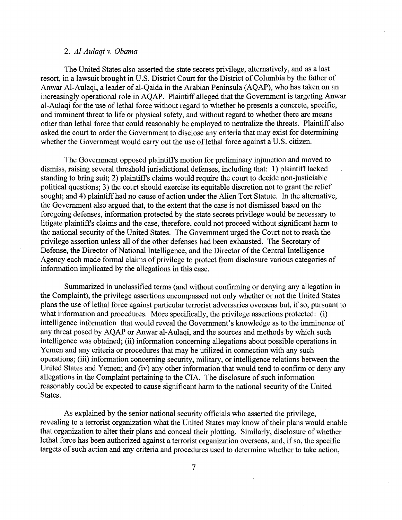#### *2. Al-Aulaqi* v. *Obama*

The United States also asserted the state secrets privilege, alternatively, and as a last resort, in a lawsuit brought in U.S. District Court for the District of Columbia by the father of Anwar AI-Aulaqi, a leader of al-Qaida in the Arabian Peninsula (AQAP), who has taken on an increasingly operational role in AQAP. Plaintiff alleged that the Government is targeting Anwar al-Aulaqi for the use of lethal force without regard to whether he presents a concrete, specific, and imminent threat to life or physical safety, and without regard to whether there are means other than lethal force that could reasonably be employed to neutralize the threats. Plaintiff also asked the court to order the Government to disclose any criteria that may exist for determining whether the Government would carry out the use of lethal force against a U.S. citizen.

The Government opposed plaintiffs motion for preliminary injunction and moved to dismiss, raising several threshold jurisdictional defenses, including that: 1) plaintiff lacked standing to bring suit; 2) plaintiffs claims would require the court to decide non-justiciable political questions; 3) the court should exercise its equitable discretion not to grant the relief sought; and 4) plaintiff had no cause of action under the Alien Tort Statute. In the alternative, the Government also argued that, to the extent that the case is not dismissed based on the foregoing defenses, information protected by the state secrets privilege would be necessary to litigate plaintiffs claims and the case, therefore, could not proceed without significant harm to the national security of the United States. The Government urged the Court not to reach the privilege assertion unless all of the other defenses had been exhausted. The Secretary of Defense, the Director of National Intelligence, and the Director of the Central Intelligence Agency each made formal claims of privilege to protect from disclosure various categories of information implicated by the allegations in this case.

Summarized in unclassified terms (and without confirming or denying any allegation in the Complaint), the privilege assertions encompassed not only whether or not the United States plans the use of lethal force against particular terrorist adversaries overseas but, if so, pursuant to what information and procedures. More specifically, the privilege assertions protected: (i) intelligence information that would reveal the Government's knowledge as to the imminence of any threat posed by AQAP or Anwar al-Aulaqi, and the sources and methods by which such intelligence was obtained; (ii) information concerning allegations about possible operations in Yemen and any criteria or procedures that may be utilized in connection with any such operations; (iii) information concerning security, military, or intelligence relations between the United States and Yemen; and (iv) any other information that would tend to confirm or deny any allegations in the Complaint pertaining to the CIA. The disclosure of such information reasonably could be expected to cause significant harm to the national security of the United States.

As explained by the senior national security officials who asserted the privilege, revealing to a terrorist organization what the United States may know of their plans would enable that organization to alter their plans and conceal their plotting. Similarly, disclosure of whether lethal force has been authorized against a terrorist organization overseas, and, if so, the specific targets of such action and any criteria and procedures used to determine whether to take action,